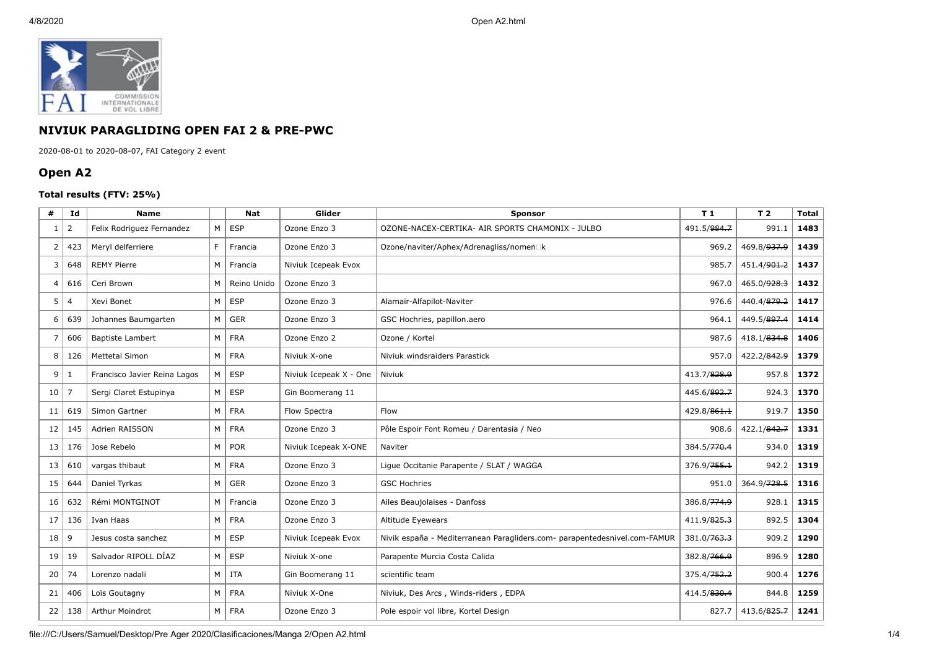

## **NIVIUK PARAGLIDING OPEN FAI 2 & PRE-PWC**

2020-08-01 to 2020-08-07, FAI Category 2 event

## **Open A2**

## **Total results (FTV: 25%)**

| #              | Id             | <b>Name</b>                  |                | <b>Nat</b>  | Glider                 | <b>Sponsor</b>                                                            | T <sub>1</sub> | T <sub>2</sub>          | <b>Total</b> |
|----------------|----------------|------------------------------|----------------|-------------|------------------------|---------------------------------------------------------------------------|----------------|-------------------------|--------------|
| -1             | 2              | Felix Rodriguez Fernandez    | M              | <b>ESP</b>  | Ozone Enzo 3           | OZONE-NACEX-CERTIKA- AIR SPORTS CHAMONIX - JULBO                          | 491.5/984.7    | 991.1                   | 1483         |
| $\overline{2}$ | 423            | Meryl delferriere            | F.             | Francia     | Ozone Enzo 3           | Ozone/naviter/Aphex/Adrenagliss/nomen□k                                   | 969.2          | 469.8/ <del>937.9</del> | 1439         |
| 3              | 648            | <b>REMY Pierre</b>           | M              | Francia     | Niviuk Icepeak Evox    |                                                                           | 985.7          | 451.4/ <del>901.2</del> | 1437         |
| 4              | 616            | Ceri Brown                   | M              | Reino Unido | Ozone Enzo 3           |                                                                           | 967.0          | 465.0/ <del>928.3</del> | 1432         |
| 5              | $\overline{4}$ | Xevi Bonet                   | M              | <b>ESP</b>  | Ozone Enzo 3           | Alamair-Alfapilot-Naviter                                                 | 976.6          | 440.4/879.2             | 1417         |
| 6              | 639            | Johannes Baumgarten          | M <sub>1</sub> | <b>GER</b>  | Ozone Enzo 3           | GSC Hochries, papillon.aero                                               | 964.1          | 449.5/897.4             | 1414         |
| 7              | 606            | <b>Baptiste Lambert</b>      | M              | <b>FRA</b>  | Ozone Enzo 2           | Ozone / Kortel                                                            | 987.6          | 418.1/834.8             | 1406         |
| 8              | 126            | <b>Mettetal Simon</b>        | M              | <b>FRA</b>  | Niviuk X-one           | Niviuk windsraiders Parastick                                             | 957.0          | 422.2/842.9             | 1379         |
| 9              | -1             | Francisco Javier Reina Lagos | M              | <b>ESP</b>  | Niviuk Icepeak X - One | Niviuk                                                                    | 413.7/828.9    | 957.8                   | 1372         |
| 10             | $\overline{7}$ | Sergi Claret Estupinya       | M              | <b>ESP</b>  | Gin Boomerang 11       |                                                                           | 445.6/892.7    | 924.3                   | 1370         |
| 11             | 619            | Simon Gartner                | М              | <b>FRA</b>  | Flow Spectra           | Flow                                                                      | 429.8/861.1    | 919.7                   | 1350         |
| 12             | 145            | Adrien RAISSON               | $M \mid$       | <b>FRA</b>  | Ozone Enzo 3           | Pôle Espoir Font Romeu / Darentasia / Neo                                 | 908.6          | 422.1/842.7             | 1331         |
| 13             | 176            | Jose Rebelo                  | M              | POR         | Niviuk Icepeak X-ONE   | Naviter                                                                   | 384.5/770.4    | 934.0                   | 1319         |
| 13             | 610            | vargas thibaut               | M              | <b>FRA</b>  | Ozone Enzo 3           | Lique Occitanie Parapente / SLAT / WAGGA                                  | 376.9/755.1    | 942.2                   | 1319         |
| 15             | 644            | Daniel Tyrkas                | М              | <b>GER</b>  | Ozone Enzo 3           | <b>GSC Hochries</b>                                                       | 951.0          | 364.9/728.5             | 1316         |
| 16             | 632            | Rémi MONTGINOT               |                | M   Francia | Ozone Enzo 3           | Ailes Beaujolaises - Danfoss                                              | 386.8/774.9    | 928.1                   | 1315         |
| 17             | 136            | Ivan Haas                    | M              | <b>FRA</b>  | Ozone Enzo 3           | Altitude Eyewears                                                         | 411.9/825.3    | 892.5                   | 1304         |
| 18             | 9              | Jesus costa sanchez          | M              | <b>ESP</b>  | Niviuk Icepeak Evox    | Nivik españa - Mediterranean Paragliders.com- parapentedesnivel.com-FAMUR | 381.0/763.3    | 909.2                   | 1290         |
| 19             | 19             | Salvador RIPOLL DÍAZ         | M <sub>1</sub> | <b>ESP</b>  | Niviuk X-one           | Parapente Murcia Costa Calida                                             | 382.8/766.9    | 896.9                   | 1280         |
| 20             | 74             | Lorenzo nadali               | M              | <b>ITA</b>  | Gin Boomerang 11       | scientific team                                                           |                | 900.4                   | 1276         |
| 21             | 406            | Loïs Goutagny                | М              | <b>FRA</b>  | Niviuk X-One           | 414.5/830.4<br>Niviuk, Des Arcs, Winds-riders, EDPA                       |                | 844.8                   | 1259         |
| 22             | 138            | Arthur Moindrot              | M <sub>1</sub> | <b>FRA</b>  | Ozone Enzo 3           | Pole espoir vol libre, Kortel Design                                      | 827.7          | 413.6/825.7             | 1241         |

file:///C:/Users/Samuel/Desktop/Pre Ager 2020/Clasificaciones/Manga 2/Open A2.html 1/4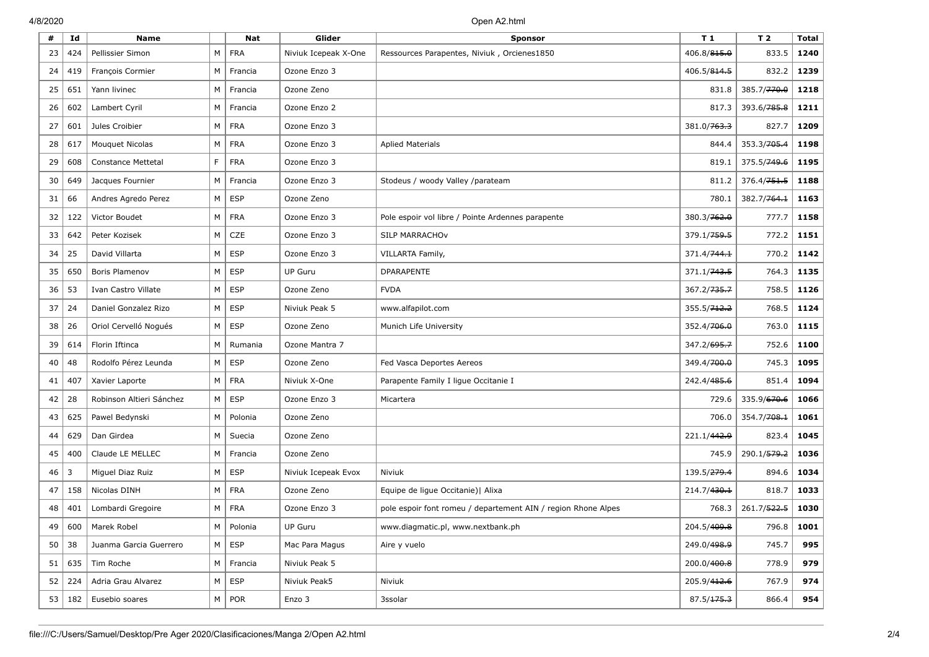| #  | Id       | <b>Name</b>               |   | Nat               | Glider               | <b>Sponsor</b>                                                | T 1                     | T <sub>2</sub> | <b>Total</b> |
|----|----------|---------------------------|---|-------------------|----------------------|---------------------------------------------------------------|-------------------------|----------------|--------------|
| 23 | 424      | Pellissier Simon          | M | <b>FRA</b>        | Niviuk Icepeak X-One | Ressources Parapentes, Niviuk, Orcienes1850                   | 406.8/ <del>815.0</del> | 833.5          | 1240         |
| 24 | 419      | François Cormier          | М | Francia           | Ozone Enzo 3         |                                                               | 406.5/814.5             | 832.2          | 1239         |
| 25 | 651      | Yann livinec              | М | Francia           | Ozone Zeno           |                                                               | 831.8                   | 385.7/770.0    | 1218         |
| 26 | 602      | Lambert Cyril             | М | Francia           | Ozone Enzo 2         |                                                               | 817.3                   | 393.6/785.8    | 1211         |
| 27 | 601      | Jules Croibier            | M | <b>FRA</b>        | Ozone Enzo 3         |                                                               | 381.0/ <del>763.3</del> | 827.7          | 1209         |
| 28 | 617      | Mouquet Nicolas           | М | <b>FRA</b>        | Ozone Enzo 3         | <b>Aplied Materials</b>                                       | 844.4                   | 353.3/705.4    | 1198         |
| 29 | 608      | <b>Constance Mettetal</b> | F | <b>FRA</b>        | Ozone Enzo 3         |                                                               | 819.1                   | 375.5/749.6    | 1195         |
| 30 | 649      | Jacques Fournier          | М | Francia           | Ozone Enzo 3         | Stodeus / woody Valley /parateam                              | 811.2                   | 376.4/751.5    | 1188         |
| 31 | 66       | Andres Agredo Perez       | M | <b>ESP</b>        | Ozone Zeno           |                                                               | 780.1                   | 382.7/764.1    | 1163         |
| 32 | 122      | Victor Boudet             | М | <b>FRA</b>        | Ozone Enzo 3         | Pole espoir vol libre / Pointe Ardennes parapente             | 380.3/762.0             | 777.7          | 1158         |
| 33 | 642      | Peter Kozisek             | М | CZE               | Ozone Enzo 3         | SILP MARRACHOV                                                | 379.1/759.5             | 772.2          | 1151         |
| 34 | 25       | David Villarta            | М | <b>ESP</b>        | Ozone Enzo 3         | VILLARTA Family,                                              | 371.4/ <del>744.1</del> | 770.2          | 1142         |
| 35 | 650      | Boris Plamenov            | M | <b>ESP</b>        | <b>UP Guru</b>       | <b>DPARAPENTE</b>                                             | 371.1/743.5             | 764.3          | 1135         |
| 36 | 53       | Ivan Castro Villate       | М | <b>ESP</b>        | Ozone Zeno           | <b>FVDA</b>                                                   | 367.2/ <del>735.7</del> | 758.5          | 1126         |
| 37 | 24       | Daniel Gonzalez Rizo      | M | <b>ESP</b>        | Niviuk Peak 5        | www.alfapilot.com                                             | 355.5/ <del>712.2</del> | 768.5          | 1124         |
| 38 | 26       | Oriol Cervelló Nogués     | М | <b>ESP</b>        | Ozone Zeno           | Munich Life University                                        | 352.4/ <del>706.0</del> | 763.0          | 1115         |
| 39 | 614      | Florin Iftinca            | M | Rumania           | Ozone Mantra 7       |                                                               | 347.2/695.7             | 752.6          | 1100         |
| 40 | 48       | Rodolfo Pérez Leunda      | M | <b>ESP</b>        | Ozone Zeno           | Fed Vasca Deportes Aereos                                     | 349.4/700.0             | 745.3          | 1095         |
| 41 | 407      | Xavier Laporte            | M | <b>FRA</b>        | Niviuk X-One         | Parapente Family I ligue Occitanie I                          | 242.4/485.6             | 851.4          | 1094         |
| 42 | 28       | Robinson Altieri Sánchez  | M | <b>ESP</b>        | Ozone Enzo 3         | Micartera                                                     | 729.6                   | 335.9/670.6    | 1066         |
| 43 | 625      | Pawel Bedynski            | M | Polonia           | Ozone Zeno           |                                                               | 706.0                   | 354.7/708.1    | 1061         |
| 44 | 629      | Dan Girdea                | М | Suecia            | Ozone Zeno           |                                                               | 221.1/ <del>442.9</del> | 823.4          | 1045         |
| 45 | 400      | Claude LE MELLEC          | М | Francia           | Ozone Zeno           |                                                               | 745.9                   | 290.1/579.2    | 1036         |
| 46 | 3        | Miquel Diaz Ruiz          | М | <b>ESP</b>        | Niviuk Icepeak Evox  | Niviuk                                                        | 139.5/279.4             | 894.6          | 1034         |
| 47 | 158      | Nicolas DINH              | M | <b>FRA</b>        | Ozone Zeno           | Equipe de ligue Occitanie)   Alixa                            | 214.7/430.1             | 818.7          | 1033         |
| 48 | 401      | Lombardi Gregoire         | М | <b>FRA</b>        | Ozone Enzo 3         | pole espoir font romeu / departement AIN / region Rhone Alpes | 768.3                   | 261.7/522.5    | 1030         |
| 49 | 600      | Marek Robel               |   | $M \vert$ Polonia | UP Guru              | www.diagmatic.pl, www.nextbank.ph                             | 204.5/409.8             | 796.8          | 1001         |
| 50 | 38       | Juanma Garcia Guerrero    |   | $M \vert$ ESP     | Mac Para Magus       | Aire y vuelo                                                  | 249.0/498.9             | 745.7          | 995          |
|    | 51   635 | Tim Roche                 |   | $M \vert$ Francia | Niviuk Peak 5        |                                                               | 200.0/ <del>400.8</del> | 778.9          | 979          |
| 52 | 224      | Adria Grau Alvarez        |   | $M \mid ESP$      | Niviuk Peak5         | Niviuk                                                        | 205.9/ <del>412.6</del> | 767.9          | 974          |
|    | 53   182 | Eusebio soares            |   | $M \vert POR$     | Enzo 3               | 3ssolar                                                       | 87.5/175.3              | 866.4          | 954          |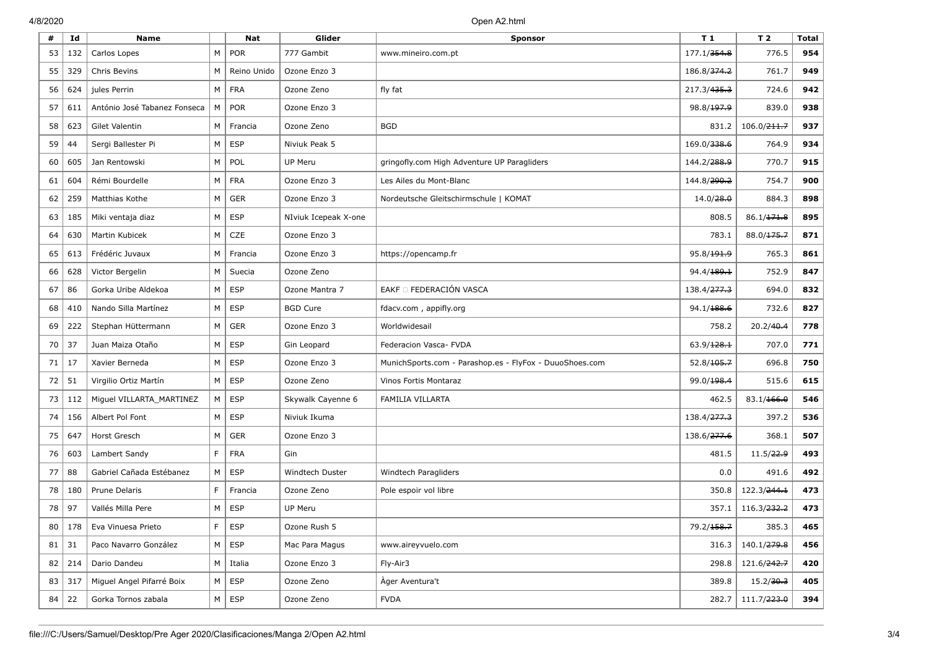| #  | Id         | <b>Name</b>                  |    | Nat              | Glider               | <b>Sponsor</b>                                          | T <sub>1</sub>          | T <sub>2</sub>          | <b>Total</b> |
|----|------------|------------------------------|----|------------------|----------------------|---------------------------------------------------------|-------------------------|-------------------------|--------------|
| 53 | 132        | Carlos Lopes                 | M  | <b>POR</b>       | 777 Gambit           | www.mineiro.com.pt                                      | 177.1/ <del>354.8</del> | 776.5                   | 954          |
| 55 | 329        | Chris Bevins                 | М  | Reino Unido      | Ozone Enzo 3         |                                                         | 186.8/374.2             | 761.7                   | 949          |
| 56 | 624        | jules Perrin                 | M  | <b>FRA</b>       | Ozone Zeno           | fly fat                                                 | 217.3/435.3             | 724.6                   | 942          |
| 57 | 611        | António José Tabanez Fonseca | M  | <b>POR</b>       | Ozone Enzo 3         |                                                         | 98.8/ <del>197.9</del>  | 839.0                   | 938          |
| 58 | 623        | Gilet Valentin               | M  | Francia          | Ozone Zeno           | <b>BGD</b>                                              | 831.2                   | 106.0/ <del>211.7</del> | 937          |
| 59 | 44         | Sergi Ballester Pi           | M  | <b>ESP</b>       | Niviuk Peak 5        |                                                         | 169.0/ <del>338.6</del> | 764.9                   | 934          |
| 60 | 605        | Jan Rentowski                | М  | POL              | <b>UP Meru</b>       | gringofly.com High Adventure UP Paragliders             | 144.2/ <del>288.9</del> | 770.7                   | 915          |
| 61 | 604        | Rémi Bourdelle               | М  | <b>FRA</b>       | Ozone Enzo 3         | Les Ailes du Mont-Blanc                                 | 144.8/ <del>290.2</del> | 754.7                   | 900          |
| 62 | 259        | Matthias Kothe               | M  | <b>GER</b>       | Ozone Enzo 3         | Nordeutsche Gleitschirmschule   KOMAT                   | 14.0/ <del>28.0</del>   | 884.3                   | 898          |
| 63 | 185        | Miki ventaja diaz            | M  | <b>ESP</b>       | NIviuk Icepeak X-one |                                                         | 808.5                   | 86.1/171.8              | 895          |
| 64 | 630        | Martin Kubicek               | М  | CZE              | Ozone Enzo 3         |                                                         | 783.1                   | 88.0/175.7              | 871          |
| 65 | 613        | Frédéric Juvaux              | M  | Francia          | Ozone Enzo 3         | https://opencamp.fr                                     | 95.8/ <del>191.9</del>  | 765.3                   | 861          |
| 66 | 628        | Victor Bergelin              | M  | Suecia           | Ozone Zeno           |                                                         | 94.4/ <del>189.1</del>  | 752.9                   | 847          |
| 67 | 86         | Gorka Uribe Aldekoa          | M  | <b>ESP</b>       | Ozone Mantra 7       | EAKF O FEDERACIÓN VASCA                                 | 138.4/ <del>277.3</del> | 694.0                   | 832          |
| 68 | 410        | Nando Silla Martínez         | M  | ESP              | <b>BGD Cure</b>      | fdacv.com, appifly.org                                  | 94.1/ <del>188.6</del>  | 732.6                   | 827          |
| 69 | 222        | Stephan Hüttermann           | M  | <b>GER</b>       | Ozone Enzo 3         | Worldwidesail                                           | 758.2                   | 20.2/40.4               | 778          |
| 70 | 37         | Juan Maiza Otaño             | M  | <b>ESP</b>       | Gin Leopard          | Federacion Vasca- FVDA                                  | 63.9/128.1              | 707.0                   | 771          |
| 71 | 17         | Xavier Berneda               | M  | <b>ESP</b>       | Ozone Enzo 3         | MunichSports.com - Parashop.es - FlyFox - DuuoShoes.com | 52.8/105.7              | 696.8                   | 750          |
| 72 | 51         | Virgilio Ortiz Martín        | M  | <b>ESP</b>       | Ozone Zeno           | Vinos Fortis Montaraz                                   | 99.0/198.4              | 515.6                   | 615          |
| 73 | 112        | Miguel VILLARTA_MARTINEZ     | M  | <b>ESP</b>       | Skywalk Cayenne 6    | <b>FAMILIA VILLARTA</b>                                 | 462.5                   | 83.1/166.0              | 546          |
| 74 | 156        | Albert Pol Font              | M  | <b>ESP</b>       | Niviuk Ikuma         |                                                         | 138.4/ <del>277.3</del> | 397.2                   | 536          |
| 75 | 647        | Horst Gresch                 | M  | <b>GER</b>       | Ozone Enzo 3         |                                                         | 138.6/ <del>277.6</del> | 368.1                   | 507          |
| 76 | 603        | Lambert Sandy                | F  | <b>FRA</b>       | Gin                  |                                                         | 481.5                   | 11.5/22.9               | 493          |
| 77 | 88         | Gabriel Cañada Estébanez     | M  | <b>ESP</b>       | Windtech Duster      | Windtech Paragliders                                    | 0.0                     | 491.6                   | 492          |
| 78 | 180        | Prune Delaris                | F  | Francia          | Ozone Zeno           | Pole espoir vol libre                                   | 350.8                   | 122.3/ <del>244.1</del> | 473          |
| 78 | 97         | Vallés Milla Pere            | M  | <b>ESP</b>       | UP Meru              |                                                         | 357.1                   | 116.3/ <del>232.2</del> | 473          |
| 80 | 178        | Eva Vinuesa Prieto           | E. | <b>ESP</b>       | Ozone Rush 5         |                                                         | 79.2/ <del>158.7</del>  | 385.3                   | 465          |
|    | $81$   31  | Paco Navarro González        |    | $M \mid ESP$     | Mac Para Magus       | www.aireyvuelo.com                                      | 316.3                   | 140.1/ <del>279.8</del> | 456          |
|    | $82$   214 | Dario Dandeu                 |    | $M \vert$ Italia | Ozone Enzo 3         | Fly-Air3                                                | 298.8                   | 121.6/ <del>242.7</del> | 420          |
| 83 | 317        | Miguel Angel Pifarré Boix    |    | $M \mid ESP$     | Ozone Zeno           | Àger Aventura't                                         | 389.8                   | 15.2/30.3               | 405          |
| 84 | 22         | Gorka Tornos zabala          |    | $M \vert$ ESP    | Ozone Zeno           | <b>FVDA</b>                                             | 282.7                   | 111.7/ <del>223.0</del> | 394          |